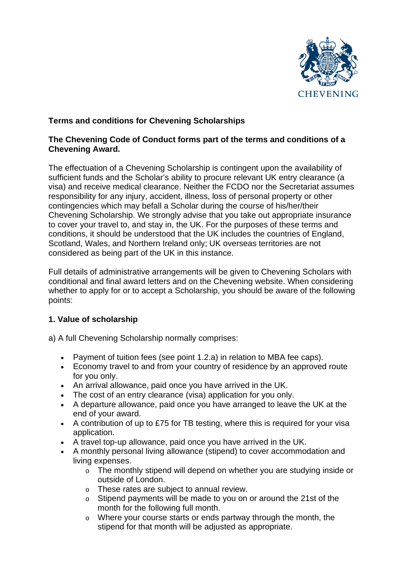

# **Terms and conditions for Chevening Scholarships**

## **The Chevening Code of Conduct forms part of the terms and conditions of a Chevening Award.**

The effectuation of a Chevening Scholarship is contingent upon the availability of sufficient funds and the Scholar's ability to procure relevant UK entry clearance (a visa) and receive medical clearance. Neither the FCDO nor the Secretariat assumes responsibility for any injury, accident, illness, loss of personal property or other contingencies which may befall a Scholar during the course of his/her/their Chevening Scholarship. We strongly advise that you take out appropriate insurance to cover your travel to, and stay in, the UK. For the purposes of these terms and conditions, it should be understood that the UK includes the countries of England, Scotland, Wales, and Northern Ireland only; UK overseas territories are not considered as being part of the UK in this instance.

Full details of administrative arrangements will be given to Chevening Scholars with conditional and final award letters and on the Chevening website. When considering whether to apply for or to accept a Scholarship, you should be aware of the following points:

## **1. Value of scholarship**

a) A full Chevening Scholarship normally comprises:

- Payment of tuition fees (see point 1.2.a) in relation to MBA fee caps).
- Economy travel to and from your country of residence by an approved route for you only.
- An arrival allowance, paid once you have arrived in the UK.
- The cost of an entry clearance (visa) application for you only.
- A departure allowance, paid once you have arranged to leave the UK at the end of your award.
- A contribution of up to £75 for TB testing, where this is required for your visa application.
- A travel top-up allowance, paid once you have arrived in the UK.
- A monthly personal living allowance (stipend) to cover accommodation and living expenses.
	- o The monthly stipend will depend on whether you are studying inside or outside of London.
	- o These rates are subject to annual review.
	- o Stipend payments will be made to you on or around the 21st of the month for the following full month.
	- o Where your course starts or ends partway through the month, the stipend for that month will be adjusted as appropriate.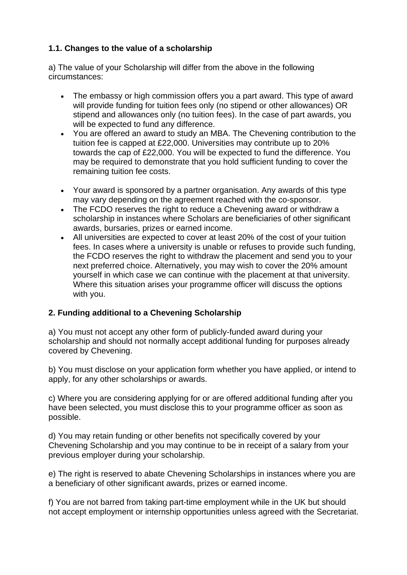# **1.1. Changes to the value of a scholarship**

a) The value of your Scholarship will differ from the above in the following circumstances:

- The embassy or high commission offers you a part award. This type of award will provide funding for tuition fees only (no stipend or other allowances) OR stipend and allowances only (no tuition fees). In the case of part awards, you will be expected to fund any difference.
- You are offered an award to study an MBA. The Chevening contribution to the tuition fee is capped at £22,000. Universities may contribute up to 20% towards the cap of £22,000. You will be expected to fund the difference. You may be required to demonstrate that you hold sufficient funding to cover the remaining tuition fee costs.
- Your award is sponsored by a partner organisation. Any awards of this type may vary depending on the agreement reached with the co-sponsor.
- The FCDO reserves the right to reduce a Chevening award or withdraw a scholarship in instances where Scholars are beneficiaries of other significant awards, bursaries, prizes or earned income.
- All universities are expected to cover at least 20% of the cost of your tuition fees. In cases where a university is unable or refuses to provide such funding, the FCDO reserves the right to withdraw the placement and send you to your next preferred choice. Alternatively, you may wish to cover the 20% amount yourself in which case we can continue with the placement at that university. Where this situation arises your programme officer will discuss the options with you.

# **2. Funding additional to a Chevening Scholarship**

a) You must not accept any other form of publicly-funded award during your scholarship and should not normally accept additional funding for purposes already covered by Chevening.

b) You must disclose on your application form whether you have applied, or intend to apply, for any other scholarships or awards.

c) Where you are considering applying for or are offered additional funding after you have been selected, you must disclose this to your programme officer as soon as possible.

d) You may retain funding or other benefits not specifically covered by your Chevening Scholarship and you may continue to be in receipt of a salary from your previous employer during your scholarship.

e) The right is reserved to abate Chevening Scholarships in instances where you are a beneficiary of other significant awards, prizes or earned income.

f) You are not barred from taking part-time employment while in the UK but should not accept employment or internship opportunities unless agreed with the Secretariat.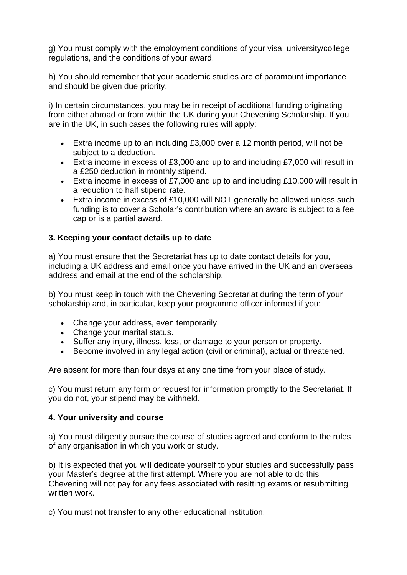g) You must comply with the employment conditions of your visa, university/college regulations, and the conditions of your award.

h) You should remember that your academic studies are of paramount importance and should be given due priority.

i) In certain circumstances, you may be in receipt of additional funding originating from either abroad or from within the UK during your Chevening Scholarship. If you are in the UK, in such cases the following rules will apply:

- Extra income up to an including £3,000 over a 12 month period, will not be subject to a deduction.
- Extra income in excess of £3,000 and up to and including £7,000 will result in a £250 deduction in monthly stipend.
- Extra income in excess of £7,000 and up to and including £10,000 will result in a reduction to half stipend rate.
- Extra income in excess of £10,000 will NOT generally be allowed unless such funding is to cover a Scholar's contribution where an award is subject to a fee cap or is a partial award.

## **3. Keeping your contact details up to date**

a) You must ensure that the Secretariat has up to date contact details for you, including a UK address and email once you have arrived in the UK and an overseas address and email at the end of the scholarship.

b) You must keep in touch with the Chevening Secretariat during the term of your scholarship and, in particular, keep your programme officer informed if you:

- Change your address, even temporarily.
- Change your marital status.
- Suffer any injury, illness, loss, or damage to your person or property.
- Become involved in any legal action (civil or criminal), actual or threatened.

Are absent for more than four days at any one time from your place of study.

c) You must return any form or request for information promptly to the Secretariat. If you do not, your stipend may be withheld.

## **4. Your university and course**

a) You must diligently pursue the course of studies agreed and conform to the rules of any organisation in which you work or study.

b) It is expected that you will dedicate yourself to your studies and successfully pass your Master's degree at the first attempt. Where you are not able to do this Chevening will not pay for any fees associated with resitting exams or resubmitting written work.

c) You must not transfer to any other educational institution.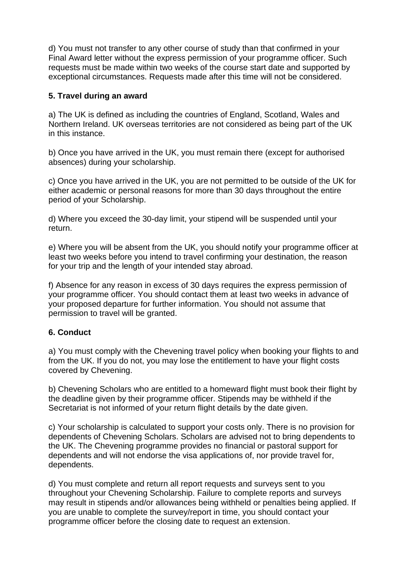d) You must not transfer to any other course of study than that confirmed in your Final Award letter without the express permission of your programme officer. Such requests must be made within two weeks of the course start date and supported by exceptional circumstances. Requests made after this time will not be considered.

## **5. Travel during an award**

a) The UK is defined as including the countries of England, Scotland, Wales and Northern Ireland. UK overseas territories are not considered as being part of the UK in this instance.

b) Once you have arrived in the UK, you must remain there (except for authorised absences) during your scholarship.

c) Once you have arrived in the UK, you are not permitted to be outside of the UK for either academic or personal reasons for more than 30 days throughout the entire period of your Scholarship.

d) Where you exceed the 30-day limit, your stipend will be suspended until your return.

e) Where you will be absent from the UK, you should notify your programme officer at least two weeks before you intend to travel confirming your destination, the reason for your trip and the length of your intended stay abroad.

f) Absence for any reason in excess of 30 days requires the express permission of your programme officer. You should contact them at least two weeks in advance of your proposed departure for further information. You should not assume that permission to travel will be granted.

## **6. Conduct**

a) You must comply with the Chevening travel policy when booking your flights to and from the UK. If you do not, you may lose the entitlement to have your flight costs covered by Chevening.

b) Chevening Scholars who are entitled to a homeward flight must book their flight by the deadline given by their programme officer. Stipends may be withheld if the Secretariat is not informed of your return flight details by the date given.

c) Your scholarship is calculated to support your costs only. There is no provision for dependents of Chevening Scholars. Scholars are advised not to bring dependents to the UK. The Chevening programme provides no financial or pastoral support for dependents and will not endorse the visa applications of, nor provide travel for, dependents.

d) You must complete and return all report requests and surveys sent to you throughout your Chevening Scholarship. Failure to complete reports and surveys may result in stipends and/or allowances being withheld or penalties being applied. If you are unable to complete the survey/report in time, you should contact your programme officer before the closing date to request an extension.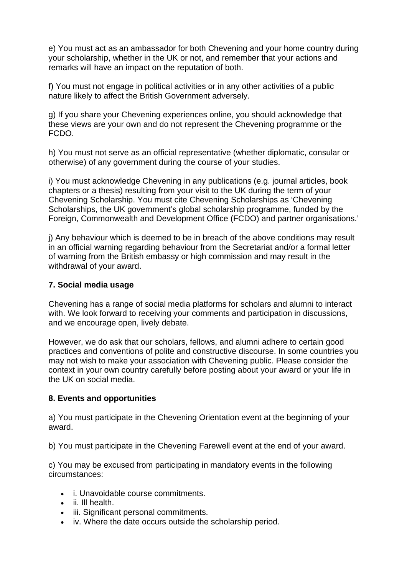e) You must act as an ambassador for both Chevening and your home country during your scholarship, whether in the UK or not, and remember that your actions and remarks will have an impact on the reputation of both.

f) You must not engage in political activities or in any other activities of a public nature likely to affect the British Government adversely.

g) If you share your Chevening experiences online, you should acknowledge that these views are your own and do not represent the Chevening programme or the FCDO.

h) You must not serve as an official representative (whether diplomatic, consular or otherwise) of any government during the course of your studies.

i) You must acknowledge Chevening in any publications (e.g. journal articles, book chapters or a thesis) resulting from your visit to the UK during the term of your Chevening Scholarship. You must cite Chevening Scholarships as 'Chevening Scholarships, the UK government's global scholarship programme, funded by the Foreign, Commonwealth and Development Office (FCDO) and partner organisations.'

j) Any behaviour which is deemed to be in breach of the above conditions may result in an official warning regarding behaviour from the Secretariat and/or a formal letter of warning from the British embassy or high commission and may result in the withdrawal of your award.

## **7. Social media usage**

Chevening has a range of social media platforms for scholars and alumni to interact with. We look forward to receiving your comments and participation in discussions, and we encourage open, lively debate.

However, we do ask that our scholars, fellows, and alumni adhere to certain good practices and conventions of polite and constructive discourse. In some countries you may not wish to make your association with Chevening public. Please consider the context in your own country carefully before posting about your award or your life in the UK on social media.

#### **8. Events and opportunities**

a) You must participate in the Chevening Orientation event at the beginning of your award.

b) You must participate in the Chevening Farewell event at the end of your award.

c) You may be excused from participating in mandatory events in the following circumstances:

- i. Unavoidable course commitments.
- ii. Ill health.
- iii. Significant personal commitments.
- iv. Where the date occurs outside the scholarship period.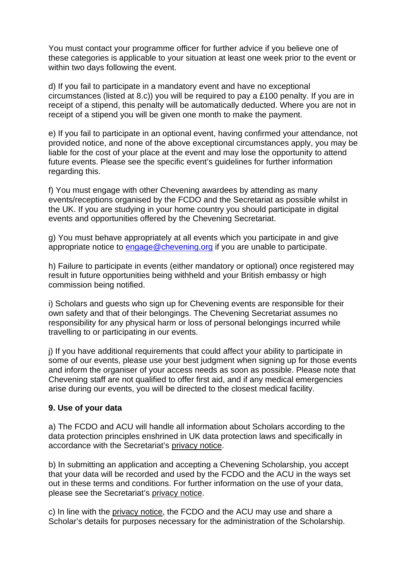You must contact your programme officer for further advice if you believe one of these categories is applicable to your situation at least one week prior to the event or within two days following the event.

d) If you fail to participate in a mandatory event and have no exceptional circumstances (listed at 8.c)) you will be required to pay a £100 penalty. If you are in receipt of a stipend, this penalty will be automatically deducted. Where you are not in receipt of a stipend you will be given one month to make the payment.

e) If you fail to participate in an optional event, having confirmed your attendance, not provided notice, and none of the above exceptional circumstances apply, you may be liable for the cost of your place at the event and may lose the opportunity to attend future events. Please see the specific event's guidelines for further information regarding this.

f) You must engage with other Chevening awardees by attending as many events/receptions organised by the FCDO and the Secretariat as possible whilst in the UK. If you are studying in your home country you should participate in digital events and opportunities offered by the Chevening Secretariat.

g) You must behave appropriately at all events which you participate in and give appropriate notice to [engage@chevening.org](mailto:engage@chevening.org) if you are unable to participate.

h) Failure to participate in events (either mandatory or optional) once registered may result in future opportunities being withheld and your British embassy or high commission being notified.

i) Scholars and guests who sign up for Chevening events are responsible for their own safety and that of their belongings. The Chevening Secretariat assumes no responsibility for any physical harm or loss of personal belongings incurred while travelling to or participating in our events.

j) If you have additional requirements that could affect your ability to participate in some of our events, please use your best judgment when signing up for those events and inform the organiser of your access needs as soon as possible. Please note that Chevening staff are not qualified to offer first aid, and if any medical emergencies arise during our events, you will be directed to the closest medical facility.

## **9. Use of your data**

a) The FCDO and ACU will handle all information about Scholars according to the data protection principles enshrined in UK data protection laws and specifically in accordance with the Secretariat's [privacy](https://www.chevening.org/about/privacy-notice/) notice.

b) In submitting an application and accepting a Chevening Scholarship, you accept that your data will be recorded and used by the FCDO and the ACU in the ways set out in these terms and conditions. For further information on the use of your data, please see the Secretariat's [privacy](https://www.chevening.org/about/privacy-notice/) notice.

c) In line with the [privacy](https://www.chevening.org/about/privacy-notice/) notice, the FCDO and the ACU may use and share a Scholar's details for purposes necessary for the administration of the Scholarship.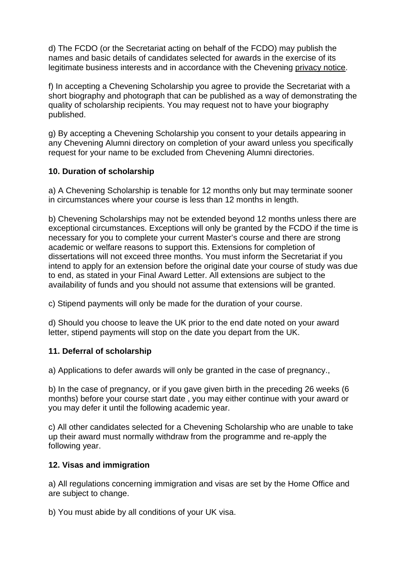d) The FCDO (or the Secretariat acting on behalf of the FCDO) may publish the names and basic details of candidates selected for awards in the exercise of its legitimate business interests and in accordance with the Chevening [privacy](https://www.chevening.org/about/privacy-notice/) notice.

f) In accepting a Chevening Scholarship you agree to provide the Secretariat with a short biography and photograph that can be published as a way of demonstrating the quality of scholarship recipients. You may request not to have your biography published.

g) By accepting a Chevening Scholarship you consent to your details appearing in any Chevening Alumni directory on completion of your award unless you specifically request for your name to be excluded from Chevening Alumni directories.

## **10. Duration of scholarship**

a) A Chevening Scholarship is tenable for 12 months only but may terminate sooner in circumstances where your course is less than 12 months in length.

b) Chevening Scholarships may not be extended beyond 12 months unless there are exceptional circumstances. Exceptions will only be granted by the FCDO if the time is necessary for you to complete your current Master's course and there are strong academic or welfare reasons to support this. Extensions for completion of dissertations will not exceed three months. You must inform the Secretariat if you intend to apply for an extension before the original date your course of study was due to end, as stated in your Final Award Letter. All extensions are subject to the availability of funds and you should not assume that extensions will be granted.

c) Stipend payments will only be made for the duration of your course.

d) Should you choose to leave the UK prior to the end date noted on your award letter, stipend payments will stop on the date you depart from the UK.

## **11. Deferral of scholarship**

a) Applications to defer awards will only be granted in the case of pregnancy.,

b) In the case of pregnancy, or if you gave given birth in the preceding 26 weeks (6 months) before your course start date , you may either continue with your award or you may defer it until the following academic year.

c) All other candidates selected for a Chevening Scholarship who are unable to take up their award must normally withdraw from the programme and re-apply the following year.

## **12. Visas and immigration**

a) All regulations concerning immigration and visas are set by the Home Office and are subject to change.

b) You must abide by all conditions of your UK visa.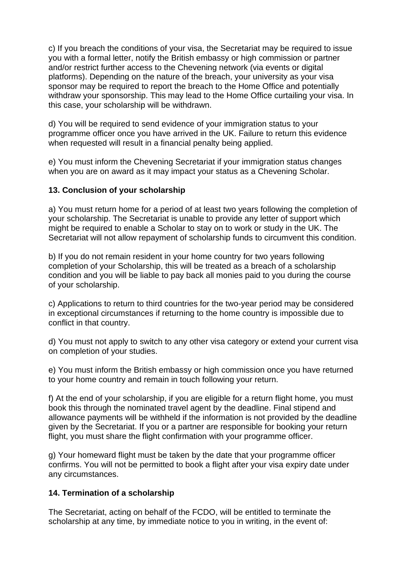c) If you breach the conditions of your visa, the Secretariat may be required to issue you with a formal letter, notify the British embassy or high commission or partner and/or restrict further access to the Chevening network (via events or digital platforms). Depending on the nature of the breach, your university as your visa sponsor may be required to report the breach to the Home Office and potentially withdraw your sponsorship. This may lead to the Home Office curtailing your visa. In this case, your scholarship will be withdrawn.

d) You will be required to send evidence of your immigration status to your programme officer once you have arrived in the UK. Failure to return this evidence when requested will result in a financial penalty being applied.

e) You must inform the Chevening Secretariat if your immigration status changes when you are on award as it may impact your status as a Chevening Scholar.

## **13. Conclusion of your scholarship**

a) You must return home for a period of at least two years following the completion of your scholarship. The Secretariat is unable to provide any letter of support which might be required to enable a Scholar to stay on to work or study in the UK. The Secretariat will not allow repayment of scholarship funds to circumvent this condition.

b) If you do not remain resident in your home country for two years following completion of your Scholarship, this will be treated as a breach of a scholarship condition and you will be liable to pay back all monies paid to you during the course of your scholarship.

c) Applications to return to third countries for the two-year period may be considered in exceptional circumstances if returning to the home country is impossible due to conflict in that country.

d) You must not apply to switch to any other visa category or extend your current visa on completion of your studies.

e) You must inform the British embassy or high commission once you have returned to your home country and remain in touch following your return.

f) At the end of your scholarship, if you are eligible for a return flight home, you must book this through the nominated travel agent by the deadline. Final stipend and allowance payments will be withheld if the information is not provided by the deadline given by the Secretariat. If you or a partner are responsible for booking your return flight, you must share the flight confirmation with your programme officer.

g) Your homeward flight must be taken by the date that your programme officer confirms. You will not be permitted to book a flight after your visa expiry date under any circumstances.

## **14. Termination of a scholarship**

The Secretariat, acting on behalf of the FCDO, will be entitled to terminate the scholarship at any time, by immediate notice to you in writing, in the event of: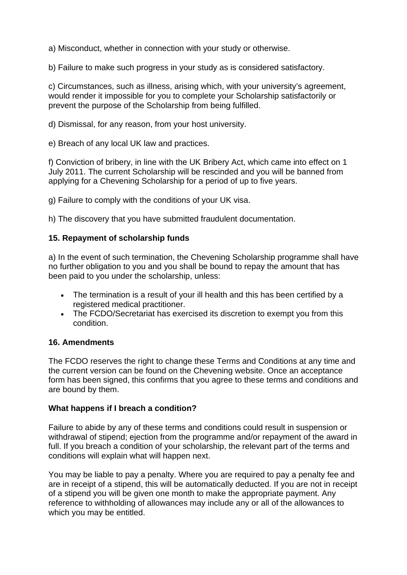a) Misconduct, whether in connection with your study or otherwise.

b) Failure to make such progress in your study as is considered satisfactory.

c) Circumstances, such as illness, arising which, with your university's agreement, would render it impossible for you to complete your Scholarship satisfactorily or prevent the purpose of the Scholarship from being fulfilled.

d) Dismissal, for any reason, from your host university.

e) Breach of any local UK law and practices.

f) Conviction of bribery, in line with the UK Bribery Act, which came into effect on 1 July 2011. The current Scholarship will be rescinded and you will be banned from applying for a Chevening Scholarship for a period of up to five years.

g) Failure to comply with the conditions of your UK visa.

h) The discovery that you have submitted fraudulent documentation.

## **15. Repayment of scholarship funds**

a) In the event of such termination, the Chevening Scholarship programme shall have no further obligation to you and you shall be bound to repay the amount that has been paid to you under the scholarship, unless:

- The termination is a result of your ill health and this has been certified by a registered medical practitioner.
- The FCDO/Secretariat has exercised its discretion to exempt you from this condition.

## **16. Amendments**

The FCDO reserves the right to change these Terms and Conditions at any time and the current version can be found on the Chevening website. Once an acceptance form has been signed, this confirms that you agree to these terms and conditions and are bound by them.

#### **What happens if I breach a condition?**

Failure to abide by any of these terms and conditions could result in suspension or withdrawal of stipend; ejection from the programme and/or repayment of the award in full. If you breach a condition of your scholarship, the relevant part of the terms and conditions will explain what will happen next.

You may be liable to pay a penalty. Where you are required to pay a penalty fee and are in receipt of a stipend, this will be automatically deducted. If you are not in receipt of a stipend you will be given one month to make the appropriate payment. Any reference to withholding of allowances may include any or all of the allowances to which you may be entitled.